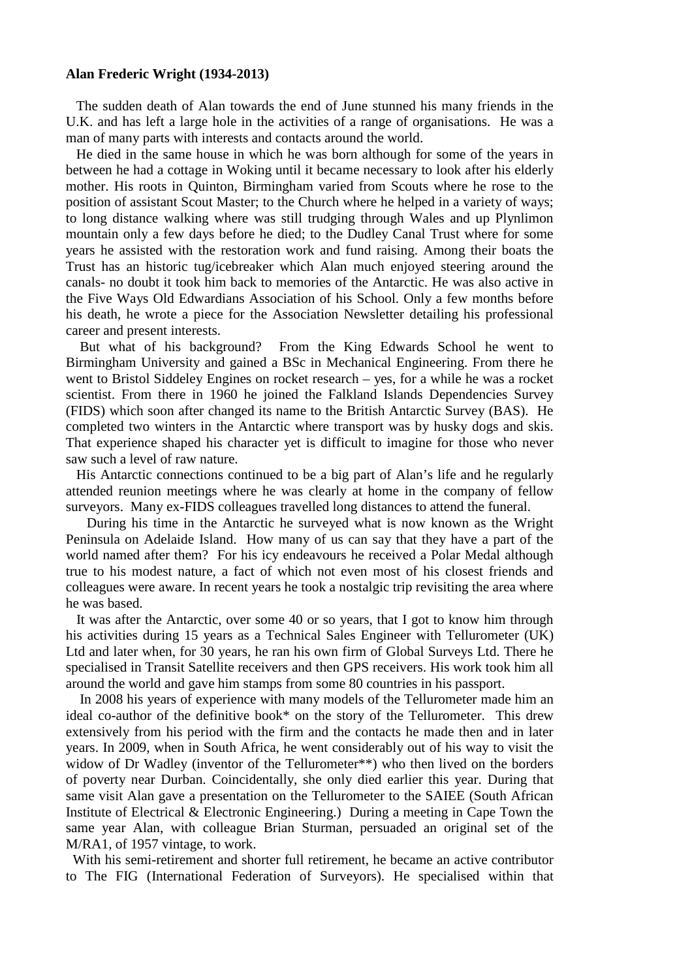## **Alan Frederic Wright (1934-2013)**

 The sudden death of Alan towards the end of June stunned his many friends in the U.K. and has left a large hole in the activities of a range of organisations. He was a man of many parts with interests and contacts around the world.

 He died in the same house in which he was born although for some of the years in between he had a cottage in Woking until it became necessary to look after his elderly mother. His roots in Quinton, Birmingham varied from Scouts where he rose to the position of assistant Scout Master; to the Church where he helped in a variety of ways; to long distance walking where was still trudging through Wales and up Plynlimon mountain only a few days before he died; to the Dudley Canal Trust where for some years he assisted with the restoration work and fund raising. Among their boats the Trust has an historic tug/icebreaker which Alan much enjoyed steering around the canals- no doubt it took him back to memories of the Antarctic. He was also active in the Five Ways Old Edwardians Association of his School. Only a few months before his death, he wrote a piece for the Association Newsletter detailing his professional career and present interests.

 But what of his background? From the King Edwards School he went to Birmingham University and gained a BSc in Mechanical Engineering. From there he went to Bristol Siddeley Engines on rocket research – yes, for a while he was a rocket scientist. From there in 1960 he joined the Falkland Islands Dependencies Survey (FIDS) which soon after changed its name to the British Antarctic Survey (BAS). He completed two winters in the Antarctic where transport was by husky dogs and skis. That experience shaped his character yet is difficult to imagine for those who never saw such a level of raw nature.

 His Antarctic connections continued to be a big part of Alan's life and he regularly attended reunion meetings where he was clearly at home in the company of fellow surveyors. Many ex-FIDS colleagues travelled long distances to attend the funeral.

 During his time in the Antarctic he surveyed what is now known as the Wright Peninsula on Adelaide Island. How many of us can say that they have a part of the world named after them? For his icy endeavours he received a Polar Medal although true to his modest nature, a fact of which not even most of his closest friends and colleagues were aware. In recent years he took a nostalgic trip revisiting the area where he was based.

 It was after the Antarctic, over some 40 or so years, that I got to know him through his activities during 15 years as a Technical Sales Engineer with Tellurometer (UK) Ltd and later when, for 30 years, he ran his own firm of Global Surveys Ltd. There he specialised in Transit Satellite receivers and then GPS receivers. His work took him all around the world and gave him stamps from some 80 countries in his passport.

 In 2008 his years of experience with many models of the Tellurometer made him an ideal co-author of the definitive book\* on the story of the Tellurometer. This drew extensively from his period with the firm and the contacts he made then and in later years. In 2009, when in South Africa, he went considerably out of his way to visit the widow of Dr Wadley (inventor of the Tellurometer\*\*) who then lived on the borders of poverty near Durban. Coincidentally, she only died earlier this year. During that same visit Alan gave a presentation on the Tellurometer to the SAIEE (South African Institute of Electrical & Electronic Engineering.) During a meeting in Cape Town the same year Alan, with colleague Brian Sturman, persuaded an original set of the M/RA1, of 1957 vintage, to work.

 With his semi-retirement and shorter full retirement, he became an active contributor to The FIG (International Federation of Surveyors). He specialised within that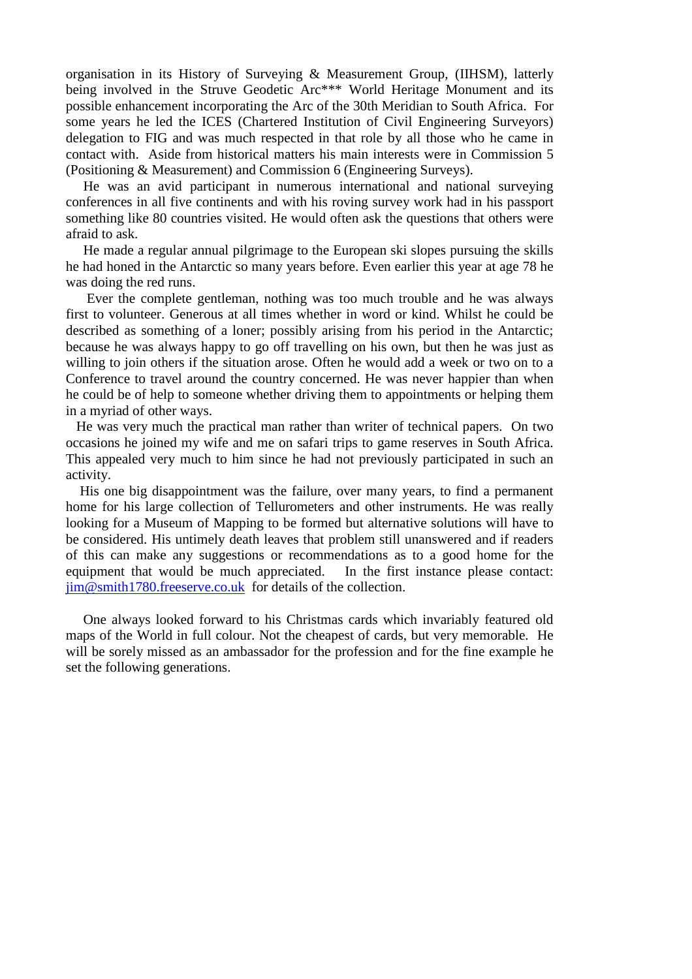organisation in its History of Surveying & Measurement Group, (IIHSM), latterly being involved in the Struve Geodetic Arc<sup>\*\*\*</sup> World Heritage Monument and its possible enhancement incorporating the Arc of the 30th Meridian to South Africa. For some years he led the ICES (Chartered Institution of Civil Engineering Surveyors) delegation to FIG and was much respected in that role by all those who he came in contact with. Aside from historical matters his main interests were in Commission 5 (Positioning & Measurement) and Commission 6 (Engineering Surveys).

 He was an avid participant in numerous international and national surveying conferences in all five continents and with his roving survey work had in his passport something like 80 countries visited. He would often ask the questions that others were afraid to ask.

 He made a regular annual pilgrimage to the European ski slopes pursuing the skills he had honed in the Antarctic so many years before. Even earlier this year at age 78 he was doing the red runs.

 Ever the complete gentleman, nothing was too much trouble and he was always first to volunteer. Generous at all times whether in word or kind. Whilst he could be described as something of a loner; possibly arising from his period in the Antarctic; because he was always happy to go off travelling on his own, but then he was just as willing to join others if the situation arose. Often he would add a week or two on to a Conference to travel around the country concerned. He was never happier than when he could be of help to someone whether driving them to appointments or helping them in a myriad of other ways.

 He was very much the practical man rather than writer of technical papers. On two occasions he joined my wife and me on safari trips to game reserves in South Africa. This appealed very much to him since he had not previously participated in such an activity.

 His one big disappointment was the failure, over many years, to find a permanent home for his large collection of Tellurometers and other instruments. He was really looking for a Museum of Mapping to be formed but alternative solutions will have to be considered. His untimely death leaves that problem still unanswered and if readers of this can make any suggestions or recommendations as to a good home for the equipment that would be much appreciated. In the first instance please contact: jim@smith1780.freeserve.co.uk for details of the collection.

 One always looked forward to his Christmas cards which invariably featured old maps of the World in full colour. Not the cheapest of cards, but very memorable. He will be sorely missed as an ambassador for the profession and for the fine example he set the following generations.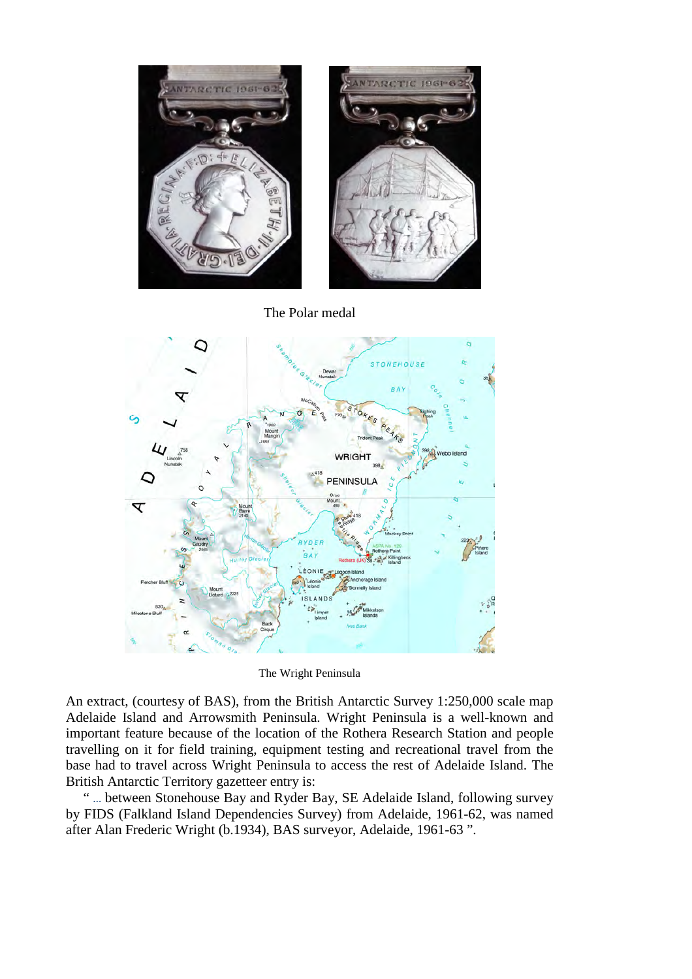

The Polar medal



The Wright Peninsula

An extract, (courtesy of BAS), from the British Antarctic Survey 1:250,000 scale map Adelaide Island and Arrowsmith Peninsula. Wright Peninsula is a well-known and important feature because of the location of the Rothera Research Station and people travelling on it for field training, equipment testing and recreational travel from the base had to travel across Wright Peninsula to access the rest of Adelaide Island. The British Antarctic Territory gazetteer entry is:

 " … between Stonehouse Bay and Ryder Bay, SE Adelaide Island, following survey by FIDS (Falkland Island Dependencies Survey) from Adelaide, 1961-62, was named after Alan Frederic Wright (b.1934), BAS surveyor, Adelaide, 1961-63 ".